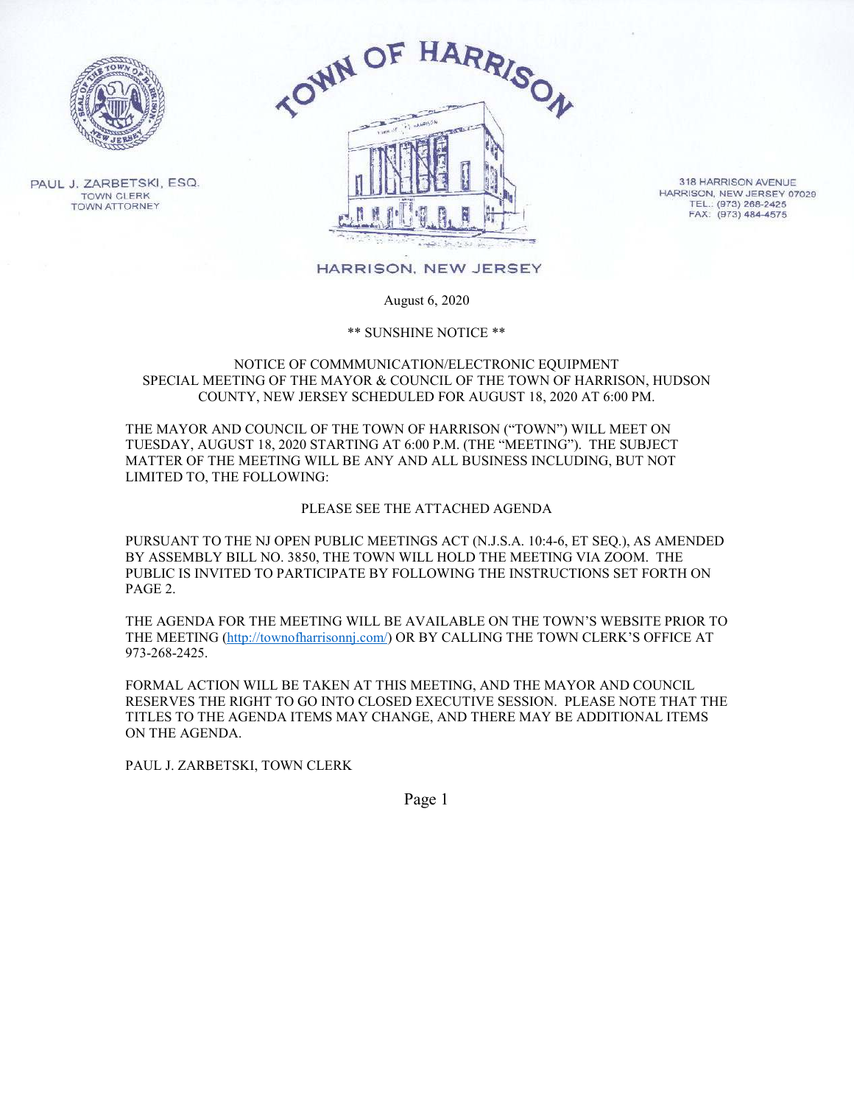

PAUL J. ZARBETSKI, ESQ. **TOWN CLERK TOWN ATTORNEY** 



318 HARRISON AVENUE HARRISON, NEW JERSEY 07029 TEL.: (973) 268-2425<br>FAX: (973) 484-4575

HARRISON, NEW JERSEY

August 6, 2020

\*\* SUNSHINE NOTICE \*\*

#### NOTICE OF COMMMUNICATION/ELECTRONIC EQUIPMENT SPECIAL MEETING OF THE MAYOR & COUNCIL OF THE TOWN OF HARRISON, HUDSON COUNTY, NEW JERSEY SCHEDULED FOR AUGUST 18, 2020 AT 6:00 PM.

THE MAYOR AND COUNCIL OF THE TOWN OF HARRISON ("TOWN") WILL MEET ON TUESDAY, AUGUST 18, 2020 STARTING AT 6:00 P.M. (THE "MEETING"). THE SUBJECT MATTER OF THE MEETING WILL BE ANY AND ALL BUSINESS INCLUDING, BUT NOT LIMITED TO, THE FOLLOWING:

#### PLEASE SEE THE ATTACHED AGENDA

PURSUANT TO THE NJ OPEN PUBLIC MEETINGS ACT (N.J.S.A. 10:4-6, ET SEQ.), AS AMENDED BY ASSEMBLY BILL NO. 3850, THE TOWN WILL HOLD THE MEETING VIA ZOOM. THE PUBLIC IS INVITED TO PARTICIPATE BY FOLLOWING THE INSTRUCTIONS SET FORTH ON PAGE 2.

THE AGENDA FOR THE MEETING WILL BE AVAILABLE ON THE TOWN'S WEBSITE PRIOR TO THE MEETING (http://townofharrisonnj.com/) OR BY CALLING THE TOWN CLERK'S OFFICE AT 973-268-2425.

FORMAL ACTION WILL BE TAKEN AT THIS MEETING, AND THE MAYOR AND COUNCIL RESERVES THE RIGHT TO GO INTO CLOSED EXECUTIVE SESSION. PLEASE NOTE THAT THE TITLES TO THE AGENDA ITEMS MAY CHANGE, AND THERE MAY BE ADDITIONAL ITEMS ON THE AGENDA.

PAUL J. ZARBETSKI, TOWN CLERK

Page 1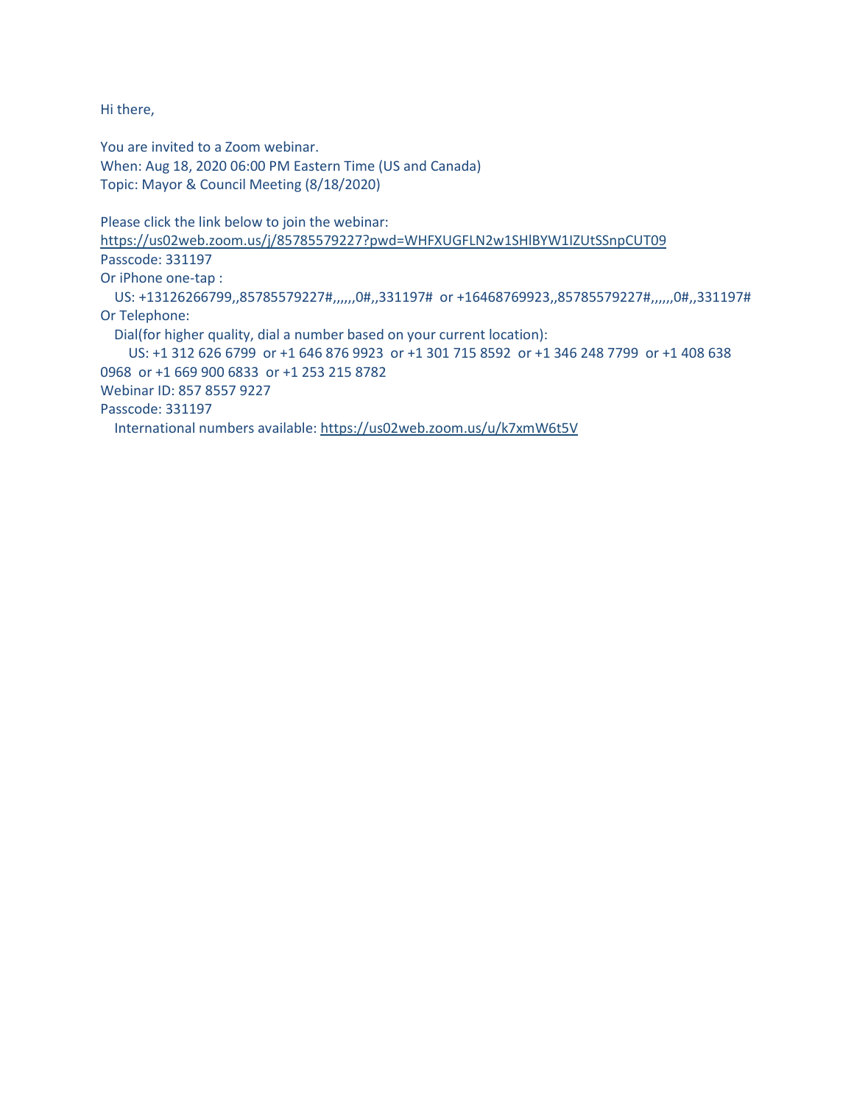Hi there,

You are invited to a Zoom webinar. When: Aug 18, 2020 06:00 PM Eastern Time (US and Canada) Topic: Mayor & Council Meeting (8/18/2020)

Please click the link below to join the webinar:

https://us02web.zoom.us/j/85785579227?pwd=WHFXUGFLN2w1SHlBYW1IZUtSSnpCUT09 Passcode: 331197 Or iPhone one-tap : US: +13126266799,,85785579227#,,,,,,0#,,331197# or +16468769923,,85785579227#,,,,,,0#,,331197# Or Telephone: Dial(for higher quality, dial a number based on your current location): US: +1 312 626 6799 or +1 646 876 9923 or +1 301 715 8592 or +1 346 248 7799 or +1 408 638 0968 or +1 669 900 6833 or +1 253 215 8782 Webinar ID: 857 8557 9227 Passcode: 331197 International numbers available: https://us02web.zoom.us/u/k7xmW6t5V